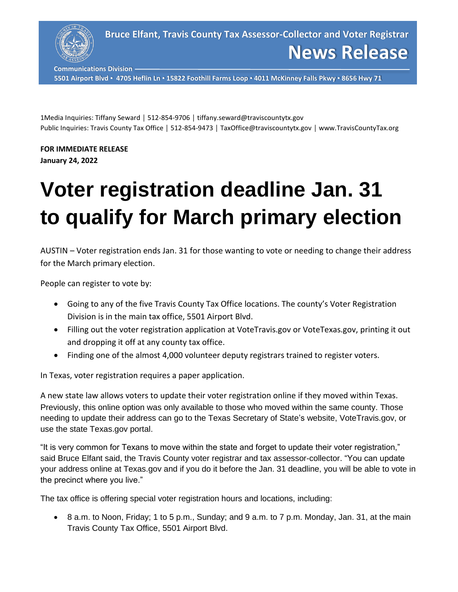

**Communications Division**

**5501 Airport Blvd ▪ 4705 Heflin Ln ▪ 15822 Foothill Farms Loop ▪ 4011 McKinney Falls Pkwy ▪ 8656 Hwy 71**

1Media Inquiries: Tiffany Seward │ 512-854-9706 │ tiffany.seward@traviscountytx.gov Public Inquiries: Travis County Tax Office | 512-854-9473 | TaxOffice@traviscountytx.gov | www.TravisCountyTax.org

**FOR IMMEDIATE RELEASE January 24, 2022**

## **Voter registration deadline Jan. 31 to qualify for March primary election**

AUSTIN – Voter registration ends Jan. 31 for those wanting to vote or needing to change their address for the March primary election.

People can register to vote by:

- Going to any of the five Travis County Tax Office locations. The county's Voter Registration Division is in the main tax office, 5501 Airport Blvd.
- Filling out the voter registration application at VoteTravis.gov or VoteTexas.gov, printing it out and dropping it off at any county tax office.
- Finding one of the almost 4,000 volunteer deputy registrars trained to register voters.

In Texas, voter registration requires a paper application.

A new state law allows voters to update their voter registration online if they moved within Texas. Previously, this online option was only available to those who moved within the same county. Those needing to update their address can go to the Texas Secretary of State's website, VoteTravis.gov, or use the state Texas.gov portal.

"It is very common for Texans to move within the state and forget to update their voter registration," said Bruce Elfant said, the Travis County voter registrar and tax assessor-collector. "You can update your address online at Texas.gov and if you do it before the Jan. 31 deadline, you will be able to vote in the precinct where you live."

The tax office is offering special voter registration hours and locations, including:

• 8 a.m. to Noon, Friday; 1 to 5 p.m., Sunday; and 9 a.m. to 7 p.m. Monday, Jan. 31, at the main Travis County Tax Office, 5501 Airport Blvd.